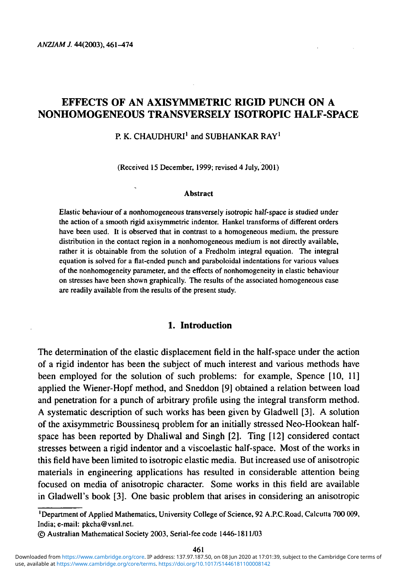# **EFFECTS OF AN AXISYMMETRIC RIGID PUNCH ON A NONHOMOGENEOUS TRANSVERSELY ISOTROPIC HALF-SPACE**

# P. K. CHAUDHURI $^1$  and SUBHANKAR RAY $^1$

(Received 15 December, 1999; revised 4 July, 2001)

#### **Abstract**

Elastic behaviour of a nonhomogeneous transversely isotropic half-space is studied under the action of a smooth rigid axisymmetric indentor. Hankel transforms of different orders have been used. It is observed that in contrast to a homogeneous medium, the pressure distribution in the contact region in a nonhomogeneous medium is not directly available, rather it is obtainable from the solution of a Fredholm integral equation. The integral equation is solved for a flat-ended punch and paraboloidal indentations for various values of the nonhomogeneity parameter, and the effects of nonhomogeneity in elastic behaviour on stresses have been shown graphically. The results of the associated homogeneous case are readily available from the results of the present study.

#### **1. Introduction**

The determination of the elastic displacement field in the half-space under the action of a rigid indentor has been the subject of much interest and various methods have been employed for the solution of such problems: for example, Spence [10, 11] applied the Wiener-Hopf method, and Sneddon [9] obtained a relation between load and penetration for a punch of arbitrary profile using the integral transform method. A systematic description of such works has been given by Gladwell [3]. A solution of the axisymmetric Boussinesq problem for an initially stressed Neo-Hookean halfspace has been reported by Dhaliwal and Singh [2]. Ting [12] considered contact stresses between a rigid indentor and a viscoelastic half-space. Most of the works in this field have been limited to isotropic elastic media. But increased use of anisotropic materials in engineering applications has resulted in considerable attention being focused on media of anisotropic character. Some works in this field are available in Gladwell's book [3]. One basic problem that arises in considering an anisotropic

<sup>1</sup> Department of Applied Mathematics, University College of Science, 92 A.P.C.Road, Calcutta 700 009, India; e-mail: pkcha@vsnl.net.

<sup>©</sup> Australian Mathematical Society 2003, Serial-fee code 1446-1811/03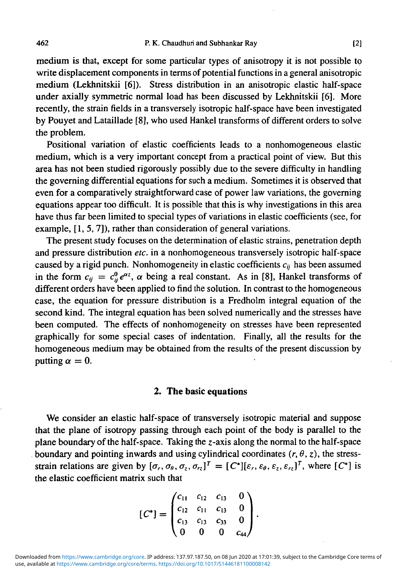medium is that, except for some particular types of anisotropy it is not possible to write displacement components in terms of potential functions in a general anisotropic medium (Lekhnitskii [6]). Stress distribution in an anisotropic elastic half-space under axially symmetric normal load has been discussed by Lekhnitskii [6]. More recently, the strain fields in a transversely isotropic half-space have been investigated by Pouyet and Lataillade [8], who used Hankel transforms of different orders to solve the problem.

Positional variation of elastic coefficients leads to a nonhomogeneous elastic medium, which is a very important concept from a practical point of view. But this area has not been studied rigorously possibly due to the severe difficulty in handling the governing differential equations for such a medium. Sometimes it is observed that even for a comparatively straightforward case of power law variations, the governing equations appear too difficult. It is possible that this is why investigations in this area have thus far been limited to special types of variations in elastic coefficients (see, for example, [1,5,7]), rather than consideration of general variations.

The present study focuses on the determination of elastic strains, penetration depth and pressure distribution *etc.* in a nonhomogeneous transversely isotropic half-space caused by a rigid punch. Nonhomogeneity in elastic coefficients  $c_{ij}$  has been assumed in the form  $c_{ij} = c_{ii}^0 e^{\alpha z}$ ,  $\alpha$  being a real constant. As in [8], Hankel transforms of different orders have been applied to find the solution. In contrast to the homogeneous case, the equation for pressure distribution is a Fredholm integral equation of the second kind. The integral equation has been solved numerically and the stresses have been computed. The effects of nonhomogeneity on stresses have been represented graphically for some special cases of indentation. Finally, all the results for the homogeneous medium may be obtained from the results of the present discussion by putting  $\alpha = 0$ .

#### **2. The basic equations**

We consider an elastic half-space of transversely isotropic material and suppose that the plane of isotropy passing through each point of the body is parallel to the plane boundary of the half-space. Taking the z-axis along the normal to the half-space boundary and pointing inwards and using cylindrical coordinates  $(r, \theta, z)$ , the stressstrain relations are given by  $[\sigma_r, \sigma_\theta, \sigma_z, \sigma_{rz}]^T = [C^*][\varepsilon_r, \varepsilon_\theta, \varepsilon_z, \varepsilon_{rz}]^T$ , where  $[C^*]$  is the elastic coefficient matrix such that

$$
[C^*]=\begin{pmatrix}c_{11}&c_{12}&c_{13}&0\\c_{12}&c_{11}&c_{13}&0\\c_{13}&c_{13}&c_{33}&0\\0&0&0&c_{44}\end{pmatrix}.
$$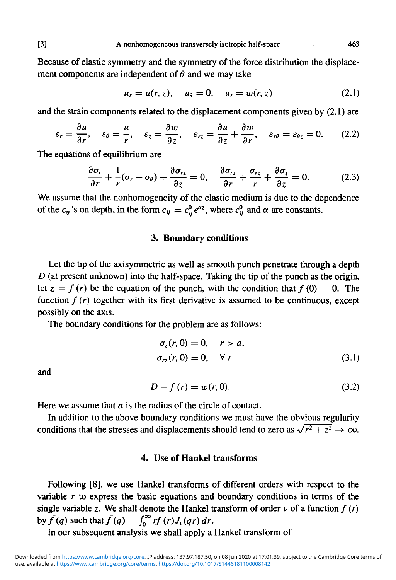Because of elastic symmetry and the symmetry of the force distribution the displacement components are independent of  $\theta$  and we may take

$$
u_r = u(r, z), \quad u_\theta = 0, \quad u_z = w(r, z)
$$
 (2.1)

and the strain components related to the displacement components given by (2.1) are

$$
\varepsilon_r = \frac{\partial u}{\partial r}, \quad \varepsilon_\theta = \frac{u}{r}, \quad \varepsilon_z = \frac{\partial w}{\partial z}, \quad \varepsilon_{rz} = \frac{\partial u}{\partial z} + \frac{\partial w}{\partial r}, \quad \varepsilon_{r\theta} = \varepsilon_{\theta z} = 0. \tag{2.2}
$$

The equations of equilibrium are

$$
\frac{\partial \sigma_r}{\partial r} + \frac{1}{r} (\sigma_r - \sigma_\theta) + \frac{\partial \sigma_{rz}}{\partial z} = 0, \quad \frac{\partial \sigma_{rz}}{\partial r} + \frac{\sigma_{rz}}{r} + \frac{\partial \sigma_z}{\partial z} = 0. \tag{2.3}
$$

We assume that the nonhomogeneity of the elastic medium is due to the dependence of the  $c_{ij}$ 's on depth, in the form  $c_{ij} = c_{ij}^0 e^{\alpha z}$ , where  $c_{ij}^0$  and  $\alpha$  are constants.

# **3. Boundary conditions**

Let the tip of the axisymmetric as well as smooth punch penetrate through a depth *D* (at present unknown) into the half-space. Taking the tip of the punch as the origin, let  $z = f(r)$  be the equation of the punch, with the condition that  $f(0) = 0$ . The function  $f(r)$  together with its first derivative is assumed to be continuous, except possibly on the axis.

The boundary conditions for the problem are as follows:

$$
\sigma_z(r, 0) = 0, \quad r > a,
$$
  
\n
$$
\sigma_{rz}(r, 0) = 0, \quad \forall r
$$
\n(3.1)

and

$$
D - f(r) = w(r, 0).
$$
 (3.2)

Here we assume that *a* is the radius of the circle of contact.

In addition to the above boundary conditions we must have the obvious regularity conditions that the stresses and displacements should tend to zero as  $\sqrt{r^2 + z^2} \to \infty$ .

## **4. Use of Hankel transforms**

Following [8], we use Hankel transforms of different orders with respect to the variable *r* to express the basic equations and boundary conditions in terms of the single variable z. We shall denote the Hankel transform of order  $\nu$  of a function  $f(r)$ by  $\bar{f}(q)$  such that  $\bar{f}(q) = \int_0^\infty rf(r)J_\nu(qr) dr$ .

In our subsequent analysis we shall apply a Hankel transform of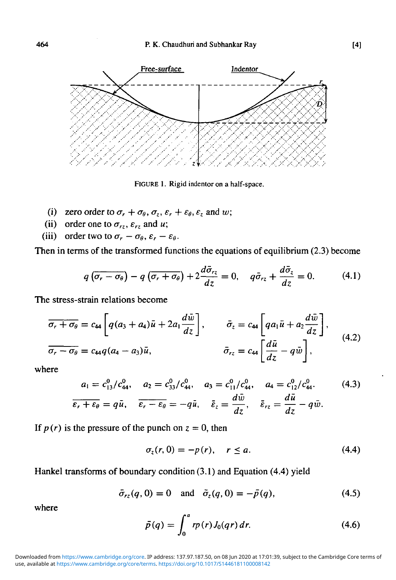

FIGURE 1. Rigid indentor on a half-space.

- (i) zero order to  $\sigma_r + \sigma_\theta$ ,  $\sigma_z$ ,  $\varepsilon_r + \varepsilon_\theta$ ,  $\varepsilon_z$  and *w*;
- (ii) order one to  $\sigma_{rz}$ ,  $\varepsilon_{rz}$  and *u*;
- (iii) order two to  $\sigma_r \sigma_\theta$ ,  $\varepsilon_r \varepsilon_\theta$ .

Then in terms of the transformed functions the equations of equilibrium (2.3) become

$$
q\left(\overline{\sigma_r - \sigma_\theta}\right) - q\left(\overline{\sigma_r + \sigma_\theta}\right) + 2\frac{d\overline{\sigma}_{rz}}{dz} = 0, \quad q\overline{\sigma}_{rz} + \frac{d\overline{\sigma}_z}{dz} = 0. \tag{4.1}
$$

The stress-strain relations become

$$
\overline{\sigma_r + \sigma_\theta} = c_{44} \left[ q(a_3 + a_4)\overline{u} + 2a_1 \frac{d\overline{w}}{dz} \right], \qquad \overline{\sigma}_z = c_{44} \left[ q a_1 \overline{u} + a_2 \frac{d\overline{w}}{dz} \right],
$$
  

$$
\overline{\sigma_r - \sigma_\theta} = c_{44} q(a_4 - a_3)\overline{u}, \qquad \overline{\sigma}_{rz} = c_{44} \left[ \frac{d\overline{u}}{dz} - q\overline{w} \right],
$$
(4.2)

where

$$
a_1 = c_{13}^0/c_{44}^0, \quad a_2 = c_{33}^0/c_{44}^0, \quad a_3 = c_{11}^0/c_{44}^0, \quad a_4 = c_{12}^0/c_{44}^0. \tag{4.3}
$$
\n
$$
\overline{\varepsilon_r + \varepsilon_\theta} = q\bar{u}, \quad \overline{\varepsilon_r - \varepsilon_\theta} = -q\bar{u}, \quad \overline{\varepsilon}_z = \frac{d\bar{w}}{dz}, \quad \overline{\varepsilon}_{rz} = \frac{d\bar{u}}{dz} - q\bar{w}.
$$

If  $p(r)$  is the pressure of the punch on  $z = 0$ , then

$$
\sigma_z(r,0) = -p(r), \quad r \le a. \tag{4.4}
$$

Hankel transforms of boundary condition (3.1) and Equation (4.4) yield

$$
\bar{\sigma}_{r_2}(q,0) = 0
$$
 and  $\bar{\sigma}_z(q,0) = -\bar{p}(q)$ , (4.5)

where

$$
\bar{p}(q) = \int_0^a r p(r) J_0(qr) dr.
$$
 (4.6)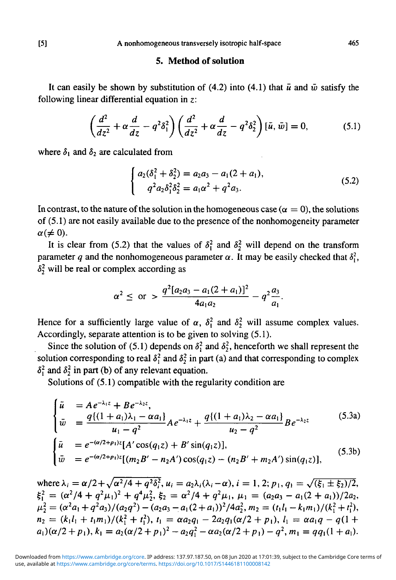#### **5. Method of solution**

It can easily be shown by substitution of (4.2) into (4.1) that  $\bar{u}$  and  $\bar{w}$  satisfy the following linear differential equation in *z:*

$$
\left(\frac{d^2}{dz^2} + \alpha \frac{d}{dz} - q^2 \delta_1^2\right) \left(\frac{d^2}{dz^2} + \alpha \frac{d}{dz} - q^2 \delta_2^2\right) [\bar{u}, \bar{w}] = 0, \tag{5.1}
$$

where  $\delta_1$  and  $\delta_2$  are calculated from

$$
\begin{cases}\n a_2(\delta_1^2 + \delta_2^2) = a_2 a_3 - a_1 (2 + a_1), \\
 q^2 a_2 \delta_1^2 \delta_2^2 = a_1 \alpha^2 + q^2 a_3.\n\end{cases} \tag{5.2}
$$

In contrast, to the nature of the solution in the homogeneous case ( $\alpha = 0$ ), the solutions of (5.1) are not easily available due to the presence of the nonhomogeneity parameter  $\alpha (\neq 0)$ .

It is clear from (5.2) that the values of  $\delta_1^2$  and  $\delta_2^2$  will depend on the transform parameter q and the nonhomogeneous parameter  $\alpha$ . It may be easily checked that  $\delta_1^2$ ,  $\delta_2^2$  will be real or complex according as

$$
\alpha^2 \leq \text{ or } > \frac{q^2[a_2a_3 - a_1(2 + a_1)]^2}{4a_1a_2} - q^2\frac{a_3}{a_1}.
$$

Hence for a sufficiently large value of  $\alpha$ ,  $\delta_1^2$  and  $\delta_2^2$  will assume complex values. Accordingly, separate attention is to be given to solving (5.1).

Since the solution of (5.1) depends on  $\delta_1^2$  and  $\delta_2^2$ , henceforth we shall represent the solution corresponding to real  $\delta_1^2$  and  $\delta_2^2$  in part (a) and that corresponding to complex  $\delta_1^2$  and  $\delta_2^2$  in part (b) of any relevant equation.

Solutions of (5.1) compatible with the regularity condition are

$$
\begin{cases}\n\tilde{u} = Ae^{-\lambda_1 z} + Be^{-\lambda_2 z}, \\
\tilde{w} = \frac{q\{(1+a_1)\lambda_1 - \alpha a_1\}}{u_1 - q^2} Ae^{-\lambda_1 z} + \frac{q\{(1+a_1)\lambda_2 - \alpha a_1\}}{u_2 - q^2} Be^{-\lambda_2 z}\n\end{cases}
$$
\n(5.3a)  
\n
$$
\begin{cases}\n\tilde{u} = e^{-(\alpha/2 + p_1)z}[A'\cos(q_1 z) + B'\sin(q_1 z)], \\
\tilde{w} = e^{-(\alpha/2 + p_1)z}[(m_2 B' - n_2 A')\cos(q_1 z) - (n_2 B' + m_2 A')\sin(q_1 z)],\n\end{cases}
$$
\n(5.3b)

where  $\lambda_i = \alpha/2 + \sqrt{\alpha^2/4 + q^2 \delta_i^2}$ ,  $u_i = a_2\lambda_i(\lambda_i - \alpha)$ ,  $i = 1, 2$ ;  $p_1, q_1 = \sqrt{(\xi_1 \pm \xi_2)/2}$ ,  $\xi_1^2 = (\alpha^2/4 + q^2\mu_1)^2 + q^4\mu_2^2$ ,  $\xi_2 = \alpha^2/4 + q^2\mu_1$ ,  $\mu_1 = (a_2a_3 - a_1(2 + a_1))/2a_2$  $\mu_2^2 = (\alpha^2 a_1 + q^2 a_3)/(a_2 q^2) - (a_2 a_3 - a_1 (2 + a_1))^2/4a_2^2, m_2 = (t_1 l_1 - k_1 m_1)/(k_1^2 + t_1^2)$  $+t_1^2$ ,  $t_1 = \alpha a_2 q_1 - 2a_2 q_1 (\alpha/2 + p_1), l_1$  $= a_2(\alpha/2 + p_1)^2 - a_2q_1^2 - \alpha a_2(\alpha/2 + p_1) - q^2, m_1 = qq_1(1 + a_1).$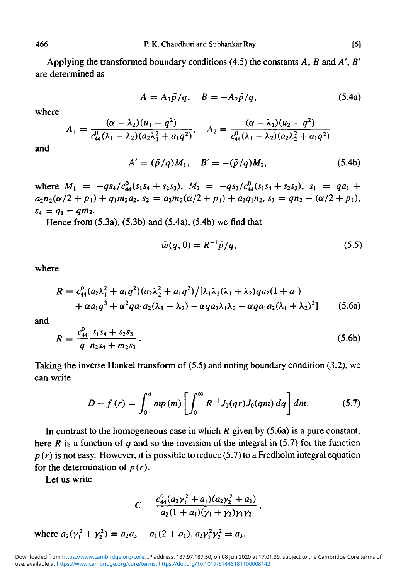Applying the transformed boundary conditions (4.5) the constants *A, B* and *A', B'* are determined as

$$
A = A_1 \bar{p}/q, \quad B = -A_2 \bar{p}/q, \tag{5.4a}
$$

where

$$
A_1 = \frac{(\alpha - \lambda_2)(u_1 - q^2)}{c_{44}^0(\lambda_1 - \lambda_2)(a_2\lambda_1^2 + a_1q^2)}, \quad A_2 = \frac{(\alpha - \lambda_1)(u_2 - q^2)}{c_{44}^0(\lambda_1 - \lambda_2)(a_2\lambda_2^2 + a_1q^2)}
$$

and

$$
A' = (\bar{p}/q)M_1, \quad B' = -(\bar{p}/q)M_2,\tag{5.4b}
$$

where  $M_1 = -qs_4/c_{44}^0(s_1s_4 + s_2s_3)$ ,  $M_2 = -qs_3/c_{44}^0(s_1s_4 + s_2s_3)$ ,  $s_1 = qa_1 +$  $a_2n_2(\alpha/2 + p_1) + q_1m_2a_2$ ,  $s_2 = a_2m_2(\alpha/2 + p_1) + a_2q_1n_2$ ,  $s_3 = qn_2 - (\alpha/2 + p_1)$ ,<br> $s_4 = q_1 - qm_2$ .

Hence from (5.3a), (5.3b) and (5.4a), (5.4b) we find that

$$
\bar{w}(q,0) = R^{-1}\bar{p}/q, \qquad (5.5)
$$

where

$$
R = c_{44}^0 (a_2 \lambda_1^2 + a_1 q^2) (a_2 \lambda_2^2 + a_1 q^2) / [\lambda_1 \lambda_2 (\lambda_1 + \lambda_2) q a_2 (1 + a_1)
$$
  
+  $\alpha a_1 q^3 + \alpha^2 q a_1 a_2 (\lambda_1 + \lambda_2) - \alpha q a_2 \lambda_1 \lambda_2 - \alpha q a_1 a_2 (\lambda_1 + \lambda_2)^2 ]$  (5.6a)

and

$$
R = \frac{c_{44}^0}{q} \frac{s_1 s_4 + s_2 s_3}{n_2 s_4 + m_2 s_3} \,. \tag{5.6b}
$$

Taking the inverse Hankel transform of (5.5) and noting boundary condition (3.2), we can write

$$
D - f(r) = \int_0^a m p(m) \left[ \int_0^\infty R^{-1} J_0(qr) J_0(qm) dq \right] dm.
$$
 (5.7)

In contrast to the homogeneous case in which *R* given by (5.6a) is a pure constant, here *R* is a function of *q* and so the inversion of the integral in (5.7) for the function  $p(r)$  is not easy. However, it is possible to reduce (5.7) to a Fredholm integral equation for the determination of  $p(r)$ .

Let us write

$$
C=\frac{c_{44}^0(a_2\gamma_1^2+a_1)(a_2\gamma_2^2+a_1)}{a_2(1+a_1)(\gamma_1+\gamma_2)\gamma_1\gamma_2},
$$

where 
$$
a_2(\gamma_1^2 + \gamma_2^2) = a_2 a_3 - a_1 (2 + a_1), a_2 \gamma_1^2 \gamma_2^2 = a_3.
$$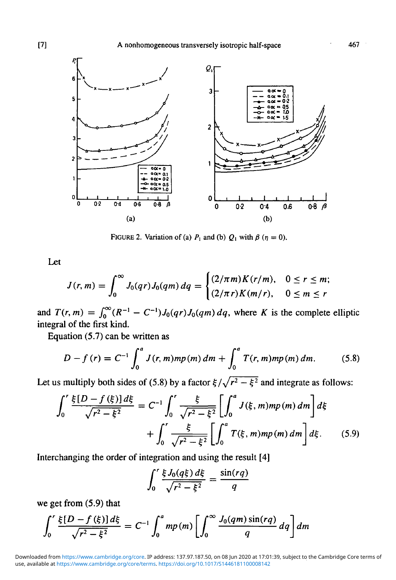

FIGURE 2. Variation of (a)  $P_1$  and (b)  $Q_1$  with  $\beta$  ( $\eta = 0$ ).

Let

$$
J(r, m) = \int_0^{\infty} J_0(qr) J_0(qm) dq = \begin{cases} (2/\pi m) K(r/m), & 0 \le r \le m; \\ (2/\pi r) K(m/r), & 0 \le m \le r \end{cases}
$$

and  $T(r, m) = \int_0^{\infty} (R^{-1} - C^{-1}) J_0(qr) J_0(qm) dq$ , where K is the complete elliptic integral of the first kind.

Equation (5.7) can be written as

$$
D - f(r) = C^{-1} \int_0^a J(r, m)mp(m) \, dm + \int_0^a T(r, m)mp(m) \, dm. \tag{5.8}
$$

Let us multiply both sides of (5.8) by a factor  $\xi/\sqrt{r^2 - \xi^2}$  and integrate as follows:

$$
\int_0^r \frac{\xi[D - f(\xi)]d\xi}{\sqrt{r^2 - \xi^2}} = C^{-1} \int_0^r \frac{\xi}{\sqrt{r^2 - \xi^2}} \left[ \int_0^a J(\xi, m)mp(m) dm \right] d\xi
$$
  
+ 
$$
\int_0^r \frac{\xi}{\sqrt{r^2 - \xi^2}} \left[ \int_0^a T(\xi, m)mp(m) dm \right] d\xi.
$$
 (5.9)

Interchanging the order of integration and using the result [4]

$$
\int_0^r \frac{\xi J_0(q\xi) d\xi}{\sqrt{r^2 - \xi^2}} = \frac{\sin(rq)}{q}
$$

we get from (5.9) that

$$
\int_0^r \frac{\xi[D - f(\xi)] d\xi}{\sqrt{r^2 - \xi^2}} = C^{-1} \int_0^a m p(m) \left[ \int_0^\infty \frac{J_0(qm) \sin(rq)}{q} dq \right] dm
$$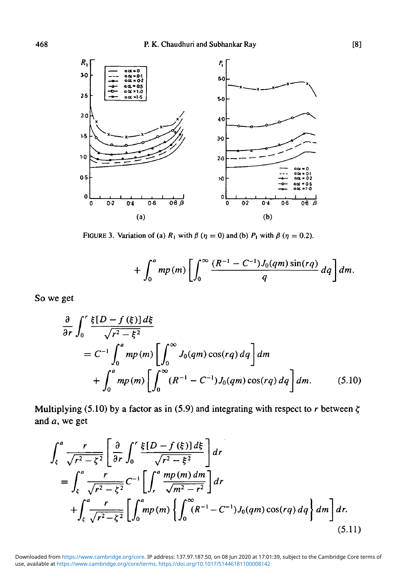

FIGURE 3. Variation of (a)  $R_1$  with  $\beta$  ( $\eta = 0$ ) and (b)  $P_1$  with  $\beta$  ( $\eta = 0.2$ ).

$$
+\int_0^a m p(m) \left[ \int_0^\infty \frac{(R^{-1}-C^{-1})J_0(qm)\sin(rq)}{q} dq \right] dm.
$$

So we get

$$
\frac{\partial}{\partial r} \int_0^r \frac{\xi[D - f(\xi)] d\xi}{\sqrt{r^2 - \xi^2}} \n= C^{-1} \int_0^a m p(m) \left[ \int_0^\infty J_0(qm) \cos(rq) dq \right] dm \n+ \int_0^a m p(m) \left[ \int_0^\infty (R^{-1} - C^{-1}) J_0(qm) \cos(rq) dq \right] dm.
$$
\n(5.10)

Multiplying (5.10) by a factor as in (5.9) and integrating with respect to  $r$  between  $\zeta$ and *a,* we get

$$
\int_{\zeta}^{a} \frac{r}{\sqrt{r^2 - \zeta^2}} \left[ \frac{\partial}{\partial r} \int_{0}^{r} \frac{\xi[D - f(\xi)] d\xi}{\sqrt{r^2 - \xi^2}} \right] dr
$$
\n
$$
= \int_{\zeta}^{a} \frac{r}{\sqrt{r^2 - \zeta^2}} C^{-1} \left[ \int_{r}^{a} \frac{mp(m) dm}{\sqrt{m^2 - r^2}} \right] dr
$$
\n
$$
+ \int_{\zeta}^{a} \frac{r}{\sqrt{r^2 - \zeta^2}} \left[ \int_{0}^{a} mp(m) \left\{ \int_{0}^{\infty} (R^{-1} - C^{-1}) J_0(qm) \cos(rq) dq \right\} dm \right] dr.
$$
\n(5.11)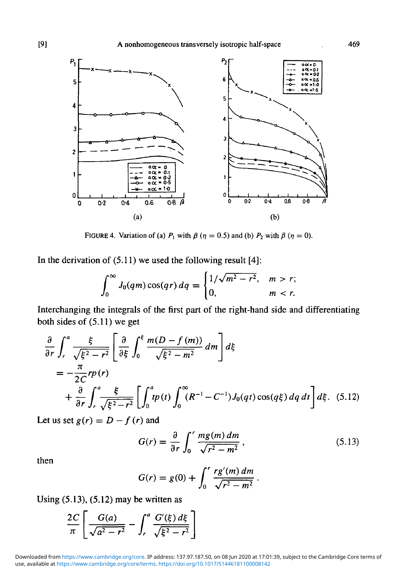

FIGURE 4. Variation of (a)  $P_1$  with  $\beta$  ( $\eta = 0.5$ ) and (b)  $P_2$  with  $\beta$  ( $\eta = 0$ ).

In the derivation of  $(5.11)$  we used the following result [4]:

$$
\int_0^\infty J_0(qm)\cos(qr)\,dq = \begin{cases} 1/\sqrt{m^2-r^2}, & m>r; \\ 0, & m
$$

Interchanging the integrals of the first part of the right-hand side and differentiating both sides of (5.11) we get

$$
\frac{\partial}{\partial r} \int_{r}^{a} \frac{\xi}{\sqrt{\xi^2 - r^2}} \left[ \frac{\partial}{\partial \xi} \int_{0}^{\xi} \frac{m(D - f(m))}{\sqrt{\xi^2 - m^2}} dm \right] d\xi
$$
\n
$$
= -\frac{\pi}{2C} r p(r)
$$
\n
$$
+ \frac{\partial}{\partial r} \int_{r}^{a} \frac{\xi}{\sqrt{\xi^2 - r^2}} \left[ \int_{0}^{a} t p(t) \int_{0}^{\infty} (R^{-1} - C^{-1}) J_{0}(qt) \cos(q\xi) dq dt \right] d\xi. \quad (5.12)
$$

Let us set  $g(r) = D - f(r)$  and

$$
G(r) = \frac{\partial}{\partial r} \int_0^r \frac{mg(m) \, dm}{\sqrt{r^2 - m^2}} \,,\tag{5.13}
$$

then

$$
G(r) = g(0) + \int_0^r \frac{rg'(m) dm}{\sqrt{r^2 - m^2}}.
$$

Using  $(5.13)$ ,  $(5.12)$  may be written as

$$
\frac{2C}{\pi}\left[\frac{G(a)}{\sqrt{a^2-r^2}}-\int_r^a\frac{G'(\xi)\,d\xi}{\sqrt{\xi^2-r^2}}\right]
$$

use, available at <https://www.cambridge.org/core/terms>.<https://doi.org/10.1017/S1446181100008142>

Downloaded from [https://www.cambridge.org/core.](https://www.cambridge.org/core) IP address: 137.97.187.50, on 08 Jun 2020 at 17:01:39, subject to the Cambridge Core terms of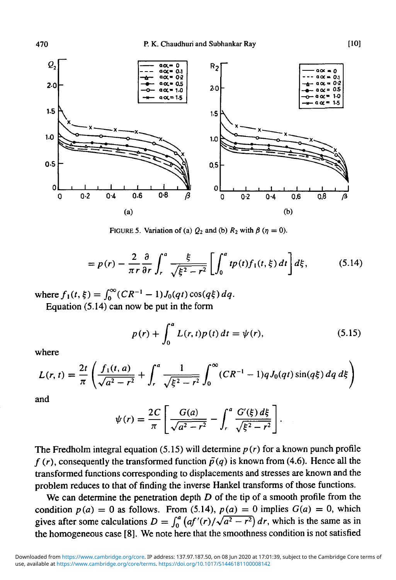

FIGURE 5. Variation of (a)  $Q_2$  and (b)  $R_2$  with  $\beta$  ( $\eta = 0$ ).

$$
=p(r)-\frac{2}{\pi r}\frac{\partial}{\partial r}\int_{r}^{a}\frac{\xi}{\sqrt{\xi^{2}-r^{2}}} \left[\int_{0}^{a}tp(t)f_{1}(t,\xi)\,dt\right]d\xi, \qquad (5.14)
$$

where  $f_1(t, \xi) = \int_0^\infty (CR^{-1} - 1)J_0(qt)\cos(q\xi) dq$ .

Equation (5.14) can now be put in the form

$$
p(r) + \int_0^a L(r, t)p(t) dt = \psi(r),
$$
 (5.15)

where

$$
L(r,t) = \frac{2t}{\pi} \left( \frac{f_1(t,a)}{\sqrt{a^2 - r^2}} + \int_r^a \frac{1}{\sqrt{\xi^2 - r^2}} \int_0^\infty (CR^{-1} - 1) q J_0(qt) \sin(q\xi) \, dq \, d\xi \right)
$$

and

$$
\psi(r) = \frac{2C}{\pi} \left[ \frac{G(a)}{\sqrt{a^2 - r^2}} - \int_r^a \frac{G'(\xi) \, d\xi}{\sqrt{\xi^2 - r^2}} \right].
$$

The Fredholm integral equation (5.15) will determine *p* (r) for a known punch profile  $f(r)$ , consequently the transformed function  $\bar{p}(q)$  is known from (4.6). Hence all the transformed functions corresponding to displacements and stresses are known and the problem reduces to that of finding the inverse Hankel transforms of those functions.

We can determine the penetration depth *D* of the tip of a smooth profile from the condition  $p(a) = 0$  as follows. From (5.14),  $p(a) = 0$  implies  $G(a) = 0$ , which gives after some calculations  $D = \int_0^a (af'(r)/\sqrt{a^2 - r^2}) dr$ , which is the same as in the homogeneous case [8]. We note here that the smoothness condition is not satisfied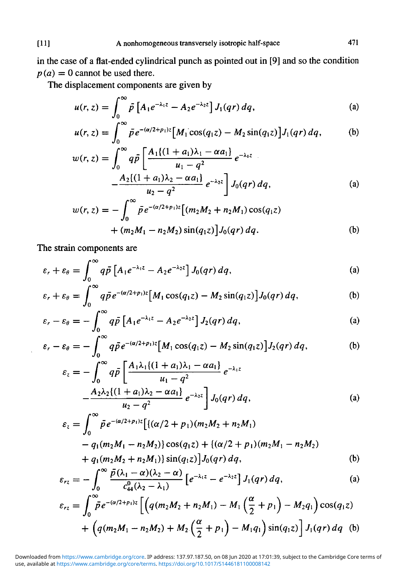in the case of a flat-ended cylindrical punch as pointed out in [9] and so the condition  $p(a) = 0$  cannot be used there.

The displacement components are given by

$$
u(r, z) = \int_0^\infty \bar{p} \left[ A_1 e^{-\lambda_1 z} - A_2 e^{-\lambda_2 z} \right] J_1(qr) dq,
$$
 (a)

$$
u(r, z) = \int_0^\infty \bar{p} e^{-(\alpha/2 + p_1)z} \left[ M_1 \cos(q_1 z) - M_2 \sin(q_1 z) \right] J_1(qr) dq, \tag{b}
$$

$$
w(r, z) = \int_0^\infty q \bar{p} \left[ \frac{A_1 \{(1 + a_1)\lambda_1 - \alpha a_1\}}{u_1 - q^2} e^{-\lambda_1 z} - \frac{A_2 \{(1 + a_1)\lambda_2 - \alpha a_1\}}{u_2 - q^2} e^{-\lambda_2 z} \right] J_0(qr) dq, \tag{a}
$$

$$
w(r, z) = -\int_0^\infty \bar{p} e^{-(\alpha/2 + p_1)z} [(m_2 M_2 + n_2 M_1) \cos(q_1 z) + (m_2 M_1 - n_2 M_2) \sin(q_1 z)] J_0(qr) dq.
$$
 (b)

The strain components are

$$
\varepsilon_r + \varepsilon_\theta = \int_0^\infty q \bar{p} \left[ A_1 e^{-\lambda_1 z} - A_2 e^{-\lambda_2 z} \right] J_0(qr) \, dq,\tag{a}
$$

$$
\varepsilon_r + \varepsilon_\theta = \int_0^\infty q \bar{p} e^{-(\alpha/2 + p_1)z} \left[ M_1 \cos(q_1 z) - M_2 \sin(q_1 z) \right] J_0(qr) \, dq,\tag{b}
$$

$$
\varepsilon_r - \varepsilon_\theta = -\int_0^\infty q \bar{p} \left[ A_1 e^{-\lambda_1 z} - A_2 e^{-\lambda_2 z} \right] J_2(qr) dq, \tag{a}
$$

$$
\varepsilon_r - \varepsilon_\theta = -\int_0^\infty q \bar{p} e^{-(\alpha/2 + p_1)z} \left[ M_1 \cos(q_1 z) - M_2 \sin(q_1 z) \right] J_2(qr) dq, \tag{b}
$$

$$
\varepsilon_{z} = -\int_{0}^{\infty} q\bar{p} \left[ \frac{A_{1}\lambda_{1}\{(1+a_{1})\lambda_{1} - \alpha a_{1}\}}{u_{1} - q^{2}} e^{-\lambda_{1}z} - \frac{A_{2}\lambda_{2}\{(1+a_{1})\lambda_{2} - \alpha a_{1}\}}{u_{2} - q^{2}} e^{-\lambda_{2}z} \right] J_{0}(qr) dq, \qquad (a)
$$

$$
\varepsilon_{z} = \int_{0}^{\infty} \bar{p} e^{-(\alpha/2 + p_{1})z} \left[ \{ (\alpha/2 + p_{1})(m_{2}M_{2} + n_{2}M_{1}) - q_{1}(m_{2}M_{1} - n_{2}M_{2}) \} \cos(q_{1}z) + \{ (\alpha/2 + p_{1})(m_{2}M_{1} - n_{2}M_{2}) + q_{1}(m_{2}M_{2} + n_{2}M_{1}) \} \sin(q_{1}z) \right] J_{0}(qr) dq, \tag{b}
$$

$$
\varepsilon_{rz} = -\int_0^\infty \frac{\bar{p}(\lambda_1 - \alpha)(\lambda_2 - \alpha)}{c_{44}^0(\lambda_2 - \lambda_1)} \left[ e^{-\lambda_1 z} - e^{-\lambda_2 z} \right] J_1(qr) \, dq,\tag{a}
$$

$$
\varepsilon_{rz} = \int_0^\infty \bar{p} e^{-(\alpha/2 + p_1)z} \left[ \left( q(m_2 M_2 + n_2 M_1) - M_1 \left( \frac{\alpha}{2} + p_1 \right) - M_2 q_1 \right) \cos(q_1 z) + \left( q(m_2 M_1 - n_2 M_2) + M_2 \left( \frac{\alpha}{2} + p_1 \right) - M_1 q_1 \right) \sin(q_1 z) \right] J_1(qr) dq
$$
 (b)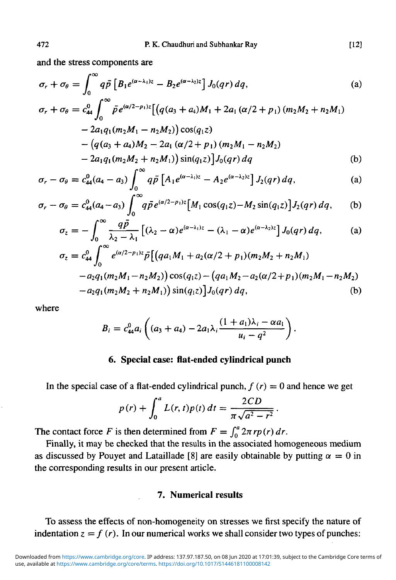and the stress components are

$$
\sigma_r + \sigma_\theta = \int_0^\infty q \bar{p} \left[ B_1 e^{(\alpha - \lambda_1)z} - B_2 e^{(\alpha - \lambda_2)z} \right] J_0(qr) \, dq,\tag{a}
$$

$$
\sigma_r + \sigma_\theta = c_{44}^0 \int_0^\infty \tilde{p} e^{(\alpha/2 - p_1)z} \left[ \left( q(a_3 + a_4)M_1 + 2a_1 \left( \alpha/2 + p_1 \right) (m_2 M_2 + n_2 M_1) \right) \right. \\ \left. - 2a_1 q_1 (m_2 M_1 - n_2 M_2) \right) \cos(q_1 z) \\ \left. - \left( q(a_3 + a_4)M_2 - 2a_1 \left( \alpha/2 + p_1 \right) (m_2 M_1 - n_2 M_2) \right. \\ \left. - 2a_1 q_1 (m_2 M_2 + n_2 M_1) \right) \sin(q_1 z) \left] J_0(qr) \, dq \right] \tag{b}
$$

$$
\sigma_r - \sigma_\theta = c_{44}^0 (a_4 - a_3) \int_0^\infty q \bar{p} \left[ A_1 e^{(\alpha - \lambda_1) z} - A_2 e^{(\alpha - \lambda_2) z} \right] J_2(qr) \, dq, \tag{a}
$$

$$
\sigma_r - \sigma_\theta = c_{44}^0 (a_4 - a_3) \int_0^\infty q \bar{p} e^{(\alpha/2 - p_1)z} \left[ M_1 \cos(q_1 z) - M_2 \sin(q_1 z) \right] J_2(qr) \, dq, \tag{b}
$$

$$
\sigma_z = -\int_0^\infty \frac{q\bar{p}}{\lambda_2 - \lambda_1} \left[ (\lambda_2 - \alpha) e^{(\alpha - \lambda_1)z} - (\lambda_1 - \alpha) e^{(\alpha - \lambda_2)z} \right] J_0(qr) dq, \tag{a}
$$

$$
\sigma_z = c_{44}^{\circ} \int_0^{\alpha_1/2 - p_1/2} p \left[ \left( q a_1 M_1 + a_2 (\alpha/2 + p_1) (m_2 M_2 + n_2 M_1) \right) - a_2 q_1 (m_2 M_1 - n_2 M_2) \right] \cos(q_1 z) - \left( q a_1 M_2 - a_2 (\alpha/2 + p_1) (m_2 M_1 - n_2 M_2) \right) - a_2 q_1 (m_2 M_2 + n_2 M_1) \right) \sin(q_1 z) \left] J_0(qr) \, dq, \tag{b}
$$

where

$$
B_i = c_{44}^0 a_i \left( (a_3 + a_4) - 2a_1 \lambda_i \frac{(1 + a_1)\lambda_i - \alpha a_1}{u_i - q^2} \right).
$$

# **6. Special case: flat-ended cylindrical punch**

In the special case of a flat-ended cylindrical punch,  $f(r) = 0$  and hence we get

$$
p(r) + \int_0^a L(r, t)p(t) dt = \frac{2CD}{\pi\sqrt{a^2 - r^2}}
$$

The contact force F is then determined from  $F = \int_0^2 2\pi r p(r) dr$ .

Finally, it may be checked that the results in the associated homogeneous medium as discussed by Pouyet and Lataillade [8] are easily obtainable by putting  $\alpha = 0$  in the corresponding results in our present article.

# **7. Numerical results**

To assess the effects of non-homogeneity on stresses we first specify the nature of indentation  $z = f(r)$ . In our numerical works we shall consider two types of punches: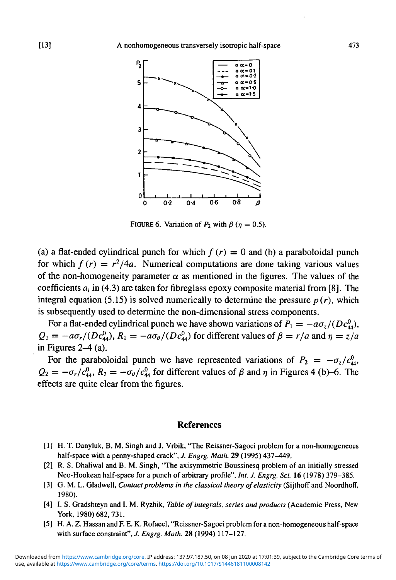

FIGURE 6. Variation of  $P_2$  with  $\beta$  ( $\eta = 0.5$ ).

(a) a flat-ended cylindrical punch for which  $f(r) = 0$  and (b) a paraboloidal punch for which  $f(r) = r^2/4a$ . Numerical computations are done taking various values of the non-homogeneity parameter  $\alpha$  as mentioned in the figures. The values of the coefficients  $a_i$  in (4.3) are taken for fibreglass epoxy composite material from [8]. The integral equation (5.15) is solved numerically to determine the pressure  $p(r)$ , which is subsequently used to determine the non-dimensional stress components.

For a flat-ended cylindrical punch we have shown variations of  $P_1 = -a\sigma_z/(Dc_{ad}^0)$ ,  $Q_1 = -a\sigma_r/(Dc_{44}^0)$ ,  $R_1 = -a\sigma_\theta/(Dc_{44}^0)$  for different values of  $\beta = r/a$  and  $\eta = z/a$ in Figures *2-4* (a).

For the paraboloidal punch we have represented variations of  $P_2 = -\sigma_z/c_{44}^0$ ,  $Q_2 = -\sigma_r/c_{44}^0$ ,  $R_2 = -\sigma_\theta/c_{44}^0$  for different values of  $\beta$  and  $\eta$  in Figures 4 (b)-6. The effects are quite clear from the figures.

#### **References**

- [1] H. T. Danyluk, B. M. Singh and J. Vrbik, "The Reissner-Sagoci problem for a non-homogeneous half-space with a penny-shaped crack", *J. Engrg. Math.* 29 (1995) 437-449.
- [2] R. S. Dhaliwal and B. M. Singh, "The axisymmetric Boussinesq problem of an initially stressed Neo-Hookean half-space for a punch of arbitrary profile", *Int. J. Engrg. Sci.* 16 (1978) 379-385.
- [3] G. M. L. Gladwell, *Contact problems in the classical theory of elasticity* (Sijthoff and Noordhoff, 1980).
- [4] I. S. Gradshteyn and I. M. Ryzhik, *Table of integrals, series and products* (Academic Press, New York, 1980) 682, 731.
- [5] H. A. Z. Hassan and F. E. K. Rofaeel, "Reissner-Sagoci problem for a non-homogeneous half-space with surface constraint", / *Engrg. Math.* 28 (1994) 117-127.